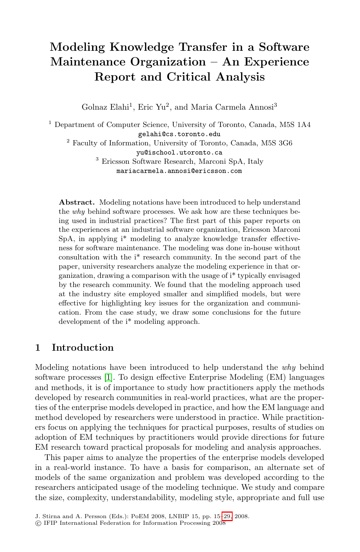# **Modeling Knowledge Transfer in a Software Maintenance Organization – An Experience Report and Critical Analysis**

Golnaz Elahi<sup>1</sup>, Eric Yu<sup>2</sup>, and Maria Carmela Annosi<sup>3</sup>

<sup>1</sup> Department of Computer Science, University of Toronto, Canada, M5S 1A4 gelahi@cs.toronto.edu <sup>2</sup> Faculty of Information, University of Toronto, Canada, M5S 3G6 yu@ischool.utoronto.ca

<sup>3</sup> Ericsson Software Research, Marconi SpA, Italy mariacarmela.annosi@ericsson.com

**Abstract.** Modeling notations have been introduced to help understand the *why* behind software processes. We ask how are these techniques being used in industrial practices? The first part of this paper reports on the experiences at an industrial software organization, Ericsson Marconi SpA, in applying i\* modeling to analyze knowledge transfer effectiveness for software maintenance. The modeling was done in-house without consultation with the i\* research community. In the second part of the paper, university researchers analyze the modeling experience in that organization, drawing a comparison with the usage of i\* typically envisaged by the research community. We found that the modeling approach used at the industry site employed smaller and simplified models, but were effective for highlighting key issues for the organization and communication. From the case study, we draw some conclusions for the future development of the i\* modeling approach.

# **1 Introduction**

Modeling notations have been introduced to help understand the *why* behind software processes [1]. To design effective Enterprise Modeling (EM) languages and methods, it is of importance to study how practitioners apply the methods developed by research communities in real-world practices, what are the properties of the enterprise models developed in practice, and how the EM language and method developed by researchers were understood in practice. While practitioners focus on applying the techniques for practical purposes, results of studies on adoption of EM techniques by [prac](#page-14-0)titioners would provide directions for future EM research toward practical proposals for modeling and analysis approaches.

This paper aims to analyze the properties of the enterprise models developed in a real-world instance. To have a basis for comparison, an alternate set of models of the same organization and problem was developed according to the researchers anticipated usage of the modeling technique. We study and compare the size, complexity, understandability, modeling style, appropriate and full use

J. Stirna and A. Persson (Eds.): PoEM 2008, LNBIP 15, pp. 15–29, 2008.

<sup>-</sup>c IFIP International Federation for Information Processing 2008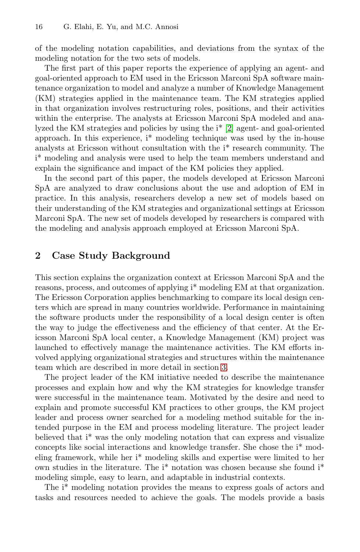of the modeling notation capabi[lit](#page-13-0)ies, and deviations from the syntax of the modeling notation for the two sets of models.

The first part of this paper reports the experience of applying an agent- and goal-oriented approach to EM used in the Ericsson Marconi SpA software maintenance organization to model and analyze a number of Knowledge Management (KM) strategies applied in the maintenance team. The KM strategies applied in that organization involves restructuring roles, positions, and their activities within the enterprise. The analysts at Ericsson Marconi SpA modeled and analyzed the KM strategies and policies by using the i\* [2] agent- and goal-oriented approach. In this experience, i\* modeling technique was used by the in-house analysts at Ericsson without consultation with the i\* research community. The i\* modeling and analysis were used to help the team members understand and explain the significance and impact of the KM policies they applied.

In the second part of this paper, the models developed at Ericsson Marconi SpA are analyzed to draw conclusions about the use and adoption of EM in practice. In this analysis, researchers develop a new set of models based on their understanding of the KM strategies and organizational settings at Ericsson Marconi SpA. The new set of models developed by researchers is compared with the modeling and analysis approach employed at Ericsson Marconi SpA.

# **2 Case Study Background**

This section explains the organization context at Ericsson Marconi SpA and the reasons, process, and outcomes [of a](#page-2-0)pplying i\* modeling EM at that organization. The Ericsson Corporation applies benchmarking to compare its local design centers which are spread in many countries worldwide. Performance in maintaining the software products under the responsibility of a local design center is often the way to judge the effectiveness and the efficiency of that center. At the Ericsson Marconi SpA local center, a Knowledge Management (KM) project was launched to effectively manage the maintenance activities. The KM efforts involved applying organizational strategies and structures within the maintenance team which are described in more detail in section 3.

The project leader of the KM initiative needed to describe the maintenance processes and explain how and why the KM strategies for knowledge transfer were successful in the maintenance team. Motivated by the desire and need to explain and promote successful KM practices to other groups, the KM project leader and process owner searched for a modeling method suitable for the intended purpose in the EM and process modeling literature. The project leader believed that i\* was the only modeling notation that can express and visualize concepts like social interactions and knowledge transfer. She chose the i\* modeling framework, while her i\* modeling skills and expertise were limited to her own studies in the literature. The i\* notation was chosen because she found i\* modeling simple, easy to learn, and adaptable in industrial contexts.

The i\* modeling notation provides the means to express goals of actors and tasks and resources needed to achieve the goals. The models provide a basis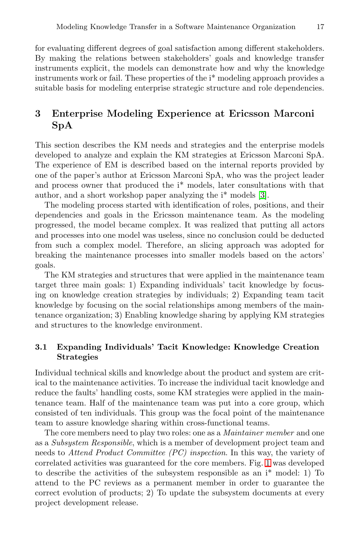<span id="page-2-0"></span>for evaluating different degrees of goal satisfaction among different stakeholders. By making the relations between stakeholders' goals and knowledge transfer instruments explicit, the models can demonstrate how and why the knowledge instruments work or fail. These properties of the i\* modeling approach provides a suitable basis for modeling enterprise strategic structure and role dependencies.

# **3 Enterprise Modeling Experi[en](#page-14-1)ce at Ericsson Marconi SpA**

This section describes the KM needs and strategies and the enterprise models developed to analyze and explain the KM strategies at Ericsson Marconi SpA. The experience of EM is described based on the internal reports provided by one of the paper's author at Ericsson Marconi SpA, who was the project leader and process owner that produced the i\* models, later consultations with that author, and a short workshop paper analyzing the i\* models [3].

The modeling process started with identification of roles, positions, and their dependencies and goals in the Ericsson maintenance team. As the modeling progressed, the model became complex. It was realized that putting all actors and processes into one model was useless, since no conclusion could be deducted from such a complex model. Therefore, an slicing approach was adopted for breaking the maintenance processes into smaller models based on the actors' goals.

The KM strategies and structures that were applied in the maintenance team target three main goals: 1) Expanding individuals' tacit knowledge by focusing on knowledge creation strategies by individuals; 2) Expanding team tacit knowledge by focusing on the social relationships among members of the maintenance organization; 3) Enabling knowledge sharing by applying KM strategies and structures to the knowledge environment.

# **3.1 Expanding Individuals' Tacit Knowledge: Knowledge Creation Strategies**

Individual technical skills and knowledge about the product and system are critical to the maintenance activities. To increas[e t](#page-3-0)he individual tacit knowledge and reduce the faults' handling costs, some KM strategies were applied in the maintenance team. Half of the maintenance team was put into a core group, which consisted of ten individuals. This group was the focal point of the maintenance team to assure knowledge sharing within cross-functional teams.

The core members need to play two roles: one as a *Maintainer member* and one as a *Subsystem Responsible*, which is a member of development project team and needs to *Attend Product Committee (PC) inspection*. In this way, the variety of correlated activities was guaranteed for the core members. Fig. 1 was developed to describe the activities of the subsystem responsible as an i\* model: 1) To attend to the PC reviews as a permanent member in order to guarantee the correct evolution of products; 2) To update the subsystem documents at every project development release.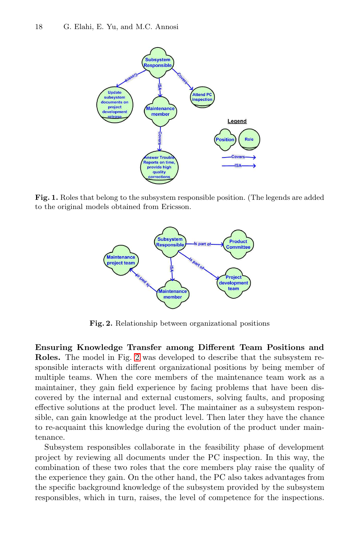

<span id="page-3-0"></span>Fig. 1. Roles that belong to the subsystem responsible position. (The legends are added to the original models obtained from Ericsson.



**Fig. 2.** Relationship between organizational positions

**Ensuring Knowledge Transfer among Different Team Positions and Roles.** The model in Fig. 2 was developed to describe that the subsystem responsible interacts with different organizational positions by being member of multiple teams. When the core members of the maintenance team work as a maintainer, they gain field experience by facing problems that have been discovered by the internal and external customers, solving faults, and proposing effective solutions at the product level. The maintainer as a subsystem responsible, can gain knowledge at the product level. Then later they have the chance to re-acquaint this knowledge during the evolution of the product under maintenance.

Subsystem responsibles collaborate in the feasibility phase of development project by reviewing all documents under the PC inspection. In this way, the combination of these two roles that the core members play raise the quality of the experience they gain. On the other hand, the PC also takes advantages from the specific background knowledge of the subsystem provided by the subsystem responsibles, which in turn, raises, the level of competence for the inspections.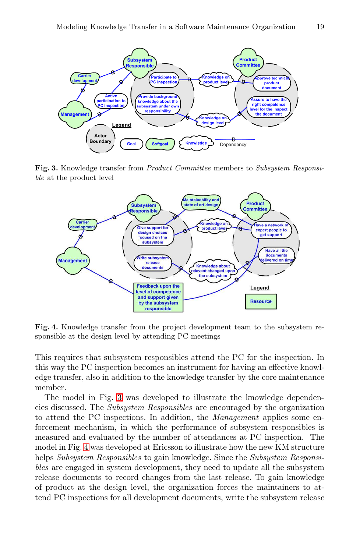

Modeling Knowledge Transfer in a Software Maintenance Organization 19

<span id="page-4-0"></span>**Fig. 3.** Knowledge transfer from *Product Committee* members to *Subsystem Responsible* at the product level



**Fig. 4.** Knowledge transfer from the project development team to the subsystem responsible at the design level by attending PC meetings

This requires that subsystem responsibles attend the PC for the inspection. In this way the PC inspection becomes an instrument for having an effective knowledge transfer, also in addition to the knowledge transfer by the core maintenance member.

The model in Fig. 3 was developed to illustrate the knowledge dependencies discussed. The *Subsystem Responsibles* are encouraged by the organization to attend the PC inspections. In addition, the *Management* applies some enforcement mechanism, in which the performance of subsystem responsibles is measured and evaluated by the number of attendances at PC inspection. The model in Fig. 4 was developed at Ericsson to illustrate how the new KM structure helps *Subsystem Responsibles* to gain knowledge. Since the *Subsystem Responsibles* are engaged in system development, they need to update all the subsystem release documents to record changes from the last release. To gain knowledge of product at the design level, the organization forces the maintainers to attend PC inspections for all development documents, write the subsystem release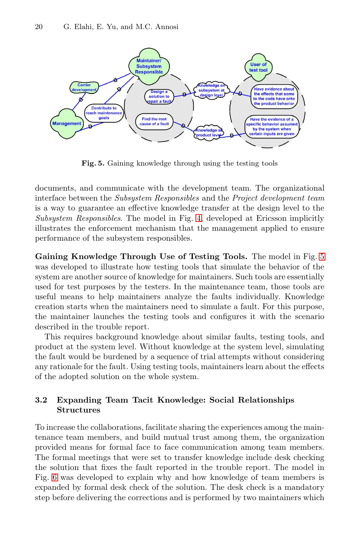<span id="page-5-0"></span>

**Fig. 5.** Gaining knowledge through using the testing tools

documents, and communicate with the development team. The organizational interface between the *Subsystem Responsibles* and the *Project development team* is a way to guarantee an effective knowledge transfer at the design level to the *Subsystem Responsibles*. The model in Fig. 4, developed at Ericsson implicitly illustrates the enforcement mechanism that the management applied to ensure performance of the subsystem responsibles.

**Gaining Knowledge Through Use of Testing Tools.** The model in Fig. 5 was developed to illustrate how testing tools that simulate the behavior of the system are another source of knowledge for maintainers. Such tools are essentially used for test purposes by the testers. In the maintenance team, those tools are useful means to help maintainers analyze the faults individually. Knowledge creation starts when the maintainers need to simulate a fault. For this purpose, the maintainer launches the testing tools and configures it with the scenario described in the trouble report.

This requires background knowledge about similar faults, testing tools, and product at the system level. Without knowledge at the system level, simulating the fault would be burdened by a sequence of trial attempts without considering any rationale for the fault. Using testing tools, maintainers learn about the effects of the adopted solution on the whole system.

# **3.2 Expanding Team Tacit Knowledge: Social Relationships Structures**

To increase the collaborations, facilitate sharing the experiences among the maintenance team members, and build mutual trust among them, the organization provided means for formal face to face communication among team members. The formal meetings that were set to transfer knowledge include desk checking the solution that fixes the fault reported in the trouble report. The model in Fig. 6 was developed to explain why and how knowledge of team members is expanded by formal desk check of the solution. The desk check is a mandatory step before delivering the corrections and is performed by two maintainers which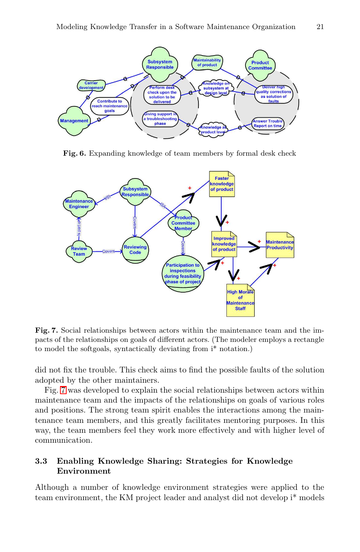

**Fig. 6.** Expanding knowledge of team members by formal desk check



<span id="page-6-0"></span>**Fig. 7.** Social relationships between actors within the maintenance team and the impacts of the relationships on goals of different actors. (The modeler employs a rectangle to model the softgoals, syntactically deviating from i\* notation.)

did not fix the trouble. This check aims to find the possible faults of the solution adopted by the other maintainers.

Fig. 7 was developed to explain the social relationships between actors within maintenance team and the impacts of the relationships on goals of various roles and positions. The strong team spirit enables the interactions among the maintenance team members, and this greatly facilitates mentoring purposes. In this way, the team members feel they work more effectively and with higher level of communication.

# **3.3 Enabling Knowledge Sharing: Strategies for Knowledge Environment**

Although a number of knowledge environment strategies were applied to the team environment, the KM project leader and analyst did not develop i\* models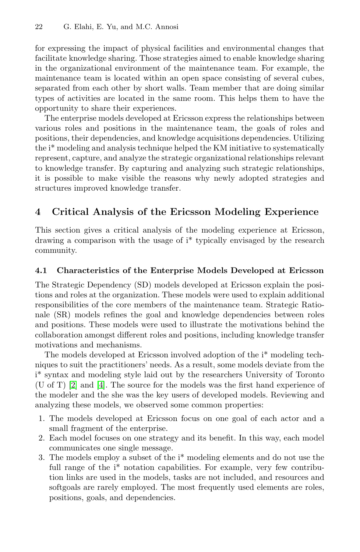for expressing the impact of physical facilities and environmental changes that facilitate knowledge sharing. Those strategies aimed to enable knowledge sharing in the organizational environment of the maintenance team. For example, the maintenance team is located within an open space consisting of several cubes, separated from each other by short walls. Team member that are doing similar types of activities are located in the same room. This helps them to have the opportunity to share their experiences.

The enterprise models developed at Ericsson express the relationships between various roles and positions in the maintenance team, the goals of roles and positions, their dependencies, and knowledge acquisitions dependencies. Utilizing the i\* modeling and analysis technique helped the KM initiative to systematically represent, capture, and analyze the strategic organizational relationships relevant to knowledge transfer. By capturing and analyzing such strategic relationships, it is possible to make visible the reasons why newly adopted strategies and structures improved knowledge transfer.

# **4 Critical Analysis of the Ericsson Modeling Experience**

This section gives a critical analysis of the modeling experience at Ericsson, drawing a comparison with the usage of i\* typically envisaged by the research community.

### **4.1 Characteristics of the Enterprise Models Developed at Ericsson**

The Strategic Dependency (SD) models developed at Ericsson explain the positions and roles at the organization. These models were used to explain additional responsibilities of the core members of the maintenance team. Strategic Rationale (SR) models refines the goal and knowledge dependencies between roles and positions. These models were used to illustrate the motivations behind the collaboration amongst different roles and positions, including knowledge transfer motivations and mechanisms.

The models developed at Ericsson involved adoption of the i\* modeling techniques to suit the practitioners' needs. As a result, some models deviate from the i\* syntax and modeling style laid out by the researchers University of Toronto (U of T) [2] and [4]. The source for the models was the first hand experience of the modeler and the she was the key users of developed models. Reviewing and analyzing these models, we observed some common properties:

- 1. The models developed at Ericsson focus on one goal of each actor and a small fragment of the enterprise.
- 2. Each model focuses on one strategy and its benefit. In this way, each model communicates one single message.
- 3. The models employ a subset of the i\* modeling elements and do not use the full range of the i<sup>\*</sup> notation capabilities. For example, very few contribution links are used in the models, tasks are not included, and resources and softgoals are rarely employed. The most frequently used elements are roles, positions, goals, and dependencies.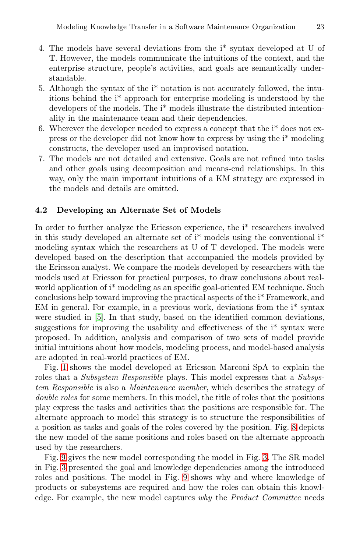- 4. The models have several deviations from the i\* syntax developed at U of T. However, the models communicate the intuitions of the context, and the enterprise structure, people's activities, and goals are semantically understandable.
- 5. Although the syntax of the i\* notation is not accurately followed, the intuitions behind the i\* approach for enterprise modeling is understood by the developers of the models. The i\* models illustrate the distributed intentionality in the maintenance team and their dependencies.
- 6. Wherever the developer needed to express a concept that the i\* does not express or the developer did not know how to express by using the i\* modeling constructs, the developer used an improvised notation.
- 7. The models are not detailed and extensive. Goals are not refined into tasks and other goals using decomposition and means-end relationships. In this way, only the main important intuitions of a KM strategy are expressed in the models and details are omitted.

### **4.2 Developing an Alternate Set of Models**

In order to further analyze the Ericsson experience, the i\* researchers involved in this study developed an alternate set of  $i^*$  models using the conventional  $i^*$ modeling syntax which the researchers at U of T developed. The models were developed based on the description that accompanied the models provided by the Ericsson analyst. We compare the models developed by researchers with the models used at Ericsson for practical purposes, to draw conclusions about realworld application of i\* modeling as an specific goal-oriented EM technique. Such conclusions help toward improving the practical aspects of the i\* Framework, and EM in general. For example, in a previous work, deviations from the i\* syntax were studied in [5]. In that study, based on the identified common deviations, suggestions for improving the usability and effectiveness of the i\* syntax were proposed. In addition, analysis and comparison of two sets of model provide initial intuitions about how models, modeling proce[ss,](#page-9-0) and model-based analysis are adopted in real-world practices of EM.

Fig. 1 shows the model developed at Ericsson Marconi SpA to explain the roles that a *Subsystem Responsible* plays. [Th](#page-4-0)is model expresses that a *Subsystem Responsible* is also a *Maintenance member*, which describes the strategy of *double roles* for some [m](#page-9-1)embers. In this model, the title of roles that the positions play express the tasks and activities that the positions are responsible for. The alternate approach to model this strategy is to structure the responsibilities of a position as tasks and goals of the roles covered by the position. Fig. 8 depicts the new model of the same positions and roles based on the alternate approach used by the researchers.

Fig. 9 gives the new model corresponding the model in Fig. 3. The SR model in Fig. 3 presented the goal and knowledge dependencies among the introduced roles and positions. The model in Fig. 9 shows why and where knowledge of products or subsystems are required and how the roles can obtain this knowledge. For example, the new model captures *why* the *Product Committee* needs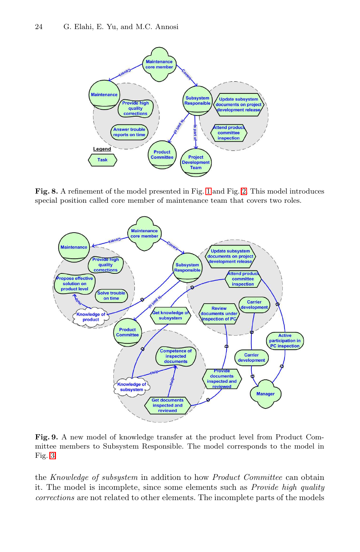

<span id="page-9-0"></span>**Fig. 8.** A refinement of the model presented in Fig. 1 and Fig. 2. This model introduces special position called core member of maintenance team that covers two roles.



<span id="page-9-1"></span>**Fig. 9.** A new model of knowledge transfer at the product level from Product Committee members to Subsystem Responsible. The model corresponds to the model in Fig. 3.

the *Knowledge of subsystem* in addition to how *Product Committee* can obtain it. The model is incomplete, since some elements such as *Provide high quality corrections* are not related to other elements. The incomplete parts of the models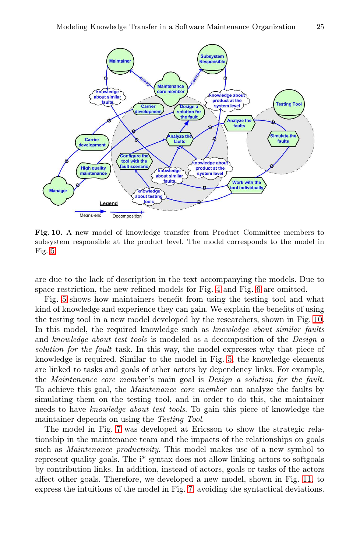

<span id="page-10-0"></span>**Fig. 10.** A new model of knowledge transfer from Product Committee members to subsystem responsible at the product level. The model corr[espo](#page-10-0)nds to the model in Fig. 5.

are due to the lack of description [in](#page-5-0) the text accompanying the models. Due to space restriction, the new refined models for Fig. 4 and Fig. 6 are omitted.

Fig. 5 shows how maintainers benefit from using the testing tool and what kind of knowledge and experience they can gain. We explain the benefits of using the testing tool in a new model developed by the researchers, shown in Fig. 10. In this model, the required knowledge such as *knowledge about similar faults* and *knowledge about test tools* is modeled as a decomposition of the *Design a sol[uti](#page-6-0)on for the fault* task. In this way, the model expresses why that piece of knowledge is required. Similar to the model in Fig. 5, the knowledge elements are linked to tasks and goals of other actors by dependency links. For example, the *Maintenance core member* 's main goal is *Design a solution for the fault*. To achieve this goal, the *Maintenance core member* can analyze the faults by simulating them on the testing tool, and in order t[o do](#page-11-0) this, the maintainer needs to have *knowled[ge](#page-6-0) about test tools*. To gain this piece of knowledge the maintainer depends on using the *Testing Tool*.

The model in Fig. 7 was developed at Ericsson to show the strategic relationship in the maintenance team and the impacts of the relationships on goals such as *Maintenance productivity*. This model makes use of a new symbol to represent quality goals. The i\* syntax does not allow linking actors to softgoals by contribution links. In addition, instead of actors, goals or tasks of the actors affect other goals. Therefore, we developed a new model, shown in Fig. 11, to express the intuitions of the model in Fig. 7, avoiding the syntactical deviations.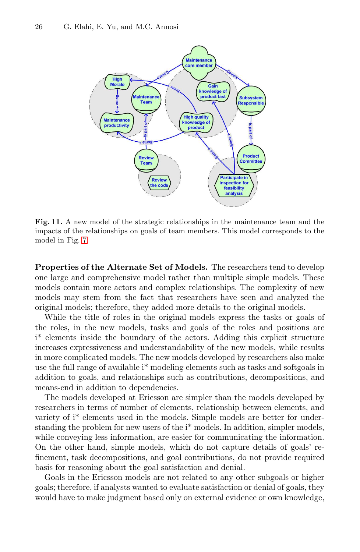

<span id="page-11-0"></span>**Fig. 11.** A new model of the strategic relationships in the maintenance team and the impacts of the relationships on goals of team members. This model corresponds to the model in Fig. 7.

**Properties of the Alternate Set of Models.** The researchers tend to develop one large and comprehensive model rather than multiple simple models. These models contain more actors and complex relationships. The complexity of new models may stem from the fact that researchers have seen and analyzed the original models; therefore, they added more details to the original models.

While the title of roles in the original models express the tasks or goals of the roles, in the new models, tasks and goals of the roles and positions are i\* elements inside the boundary of the actors. Adding this explicit structure increases expressiveness and understandability of the new models, while results in more complicated models. The new models developed by researchers also make use the full range of available i\* modeling elements such as tasks and softgoals in addition to goals, and relationships such as contributions, decompositions, and means-end in addition to dependencies.

The models developed at Ericsson are simpler than the models developed by researchers in terms of number of elements, relationship between elements, and variety of i\* elements used in the models. Simple models are better for understanding the problem for new users of the i\* models. In addition, simpler models, while conveying less information, are easier for communicating the information. On the other hand, simple models, which do not capture details of goals' refinement, task decompositions, and goal contributions, do not provide required basis for reasoning about the goal satisfaction and denial.

Goals in the Ericsson models are not related to any other subgoals or higher goals; therefore, if analysts wanted to evaluate satisfaction or denial of goals, they would have to make judgment based only on external evidence or own knowledge,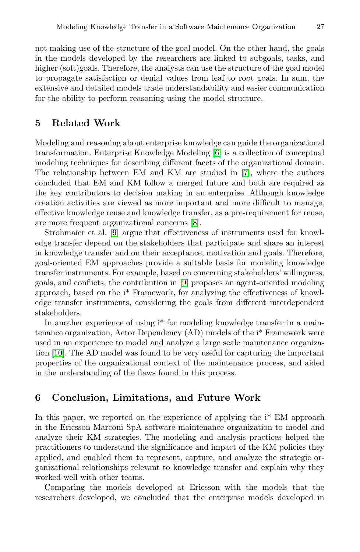not making use of the structure of the goal model. On the other hand, the goals in the models developed by the researchers are linked to subgoals, tasks, and higher (soft)goals. Therefore, the analysts can use the structure of the goal model to propagate satisfaction or [den](#page-14-2)ial values from leaf to root goals. In sum, the extensive and detailed models trade understandability and easier communication for the ability to perform reasoning u[sin](#page-14-3)g the model structure.

# **5 Related Work**

Modeling and reasoning [ab](#page-14-4)out enterprise knowledge can guide the organizational tr[an](#page-14-5)sformation. Enterprise Knowledge Modeling [6] is a collection of conceptual modeling techniques for describing different facets of the organizational domain. The relationship between EM and KM are studied in [7], where the authors concluded that EM and KM follow a merged future and both are required as the key contributors to decision making in an enterprise. Although knowledge creation activities ar[e v](#page-14-5)iewed as more important and more difficult to manage, effective knowledge reuse and knowledge transfer, as a pre-requirement for reuse, are more frequent organizational concerns [8].

Strohmaier et al. [9] argue that effectiveness of instruments used for knowledge transfer depend on the stakeholders that participate and share an interest in knowledge transfer and on their acceptance, motivation and goals. Therefore, goal-oriented EM approaches provide a suitable basis for modeling knowledge transfer instruments. For example, based on concerning stakeholders' willingness, goals, and conflicts, the contribution in [9] proposes an agent-oriented modeling approach, based on the i\* Framework, for analyzing the effectiveness of knowledge transfer instruments, considering the goals from different interdependent stakeholders.

In another experience of using i<sup>\*</sup> for modeling knowledge transfer in a maintenance organization, Actor Dependency (AD) models of the i\* Framework were used in an experience to model and analyze a large scale maintenance organization [10]. The AD model was found to be very useful for capturing the important properties of the organizational context of the maintenance process, and aided in the understanding of the flaws found in this process.

# **6 Conclusion, Limitations, and Future Work**

In this paper, we reported on the experience of applying the  $i^*$  EM approach in the Ericsson Marconi SpA software maintenance organization to model and analyze their KM strategies. The modeling and analysis practices helped the practitioners to understand the significance and impact of the KM policies they applied, and enabled them to represent, capture, and analyze the strategic organizational relationships relevant to knowledge transfer and explain why they worked well with other teams.

Comparing the models developed at Ericsson with the models that the researchers developed, we concluded that the enterprise models developed in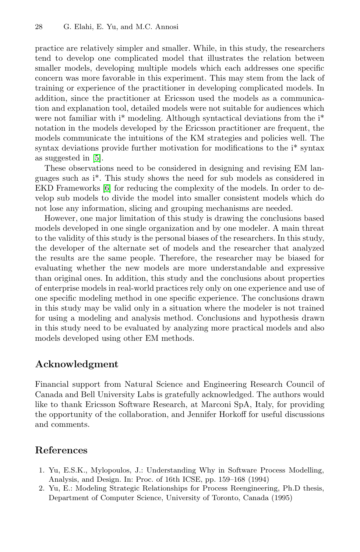practice are relatively simpler and smaller. While, in this study, the researchers tend to develop one complicated model that illustrates the relation between smaller models, developing multiple models which each addresses one specific concern was more favorable in this experiment. This may stem from the lack of training or experience of the practitioner in developing complicated models. In addition, since the practitioner at Ericsson used the models as a communica[tio](#page-14-2)n and explanation tool, detailed models were not suitable for audiences which were not familiar with i\* modeling. Although syntactical deviations from the i\* notation in the models developed by the Ericsson practitioner are frequent, the models communicate the intuitions of the KM strategies and policies well. The syntax deviations provide further motivation for modifications to the i\* syntax as suggested in [5].

These observations need to be considered in designing and revising EM languages such as i\*. This study shows the need for sub models as considered in EKD Frameworks [6] for reducing the complexity of the models. In order to develop sub models to divide the model into smaller consistent models which do not lose any information, slicing and grouping mechanisms are needed.

However, one major limitation of this study is drawing the conclusions based models developed in one single organization and by one modeler. A main threat to the validity of this study is the personal biases of the researchers. In this study, the developer of the alternate set of models and the researcher that analyzed the results are the same people. Therefore, the researcher may be biased for evaluating whether the new models are more understandable and expressive than original ones. In addition, this study and the conclusions about properties of enterprise models in real-world practices rely only on one experience and use of one specific modeling method in one specific experience. The conclusions drawn in this study may be valid only in a situation where the modeler is not trained for using a modeling and analysis method. Conclusions and hypothesis drawn in this study need to be evaluated by analyzing more practical models and also models developed using other EM methods.

# **Acknowledgment**

<span id="page-13-0"></span>Financial support from Natural Science and Engineering Research Council of Canada and Bell University Labs is gratefully acknowledged. The authors would like to thank Ericsson Software Research, at Marconi SpA, Italy, for providing the opportunity of the collaboration, and Jennifer Horkoff for useful discussions and comments.

# **References**

- 1. Yu, E.S.K., Mylopoulos, J.: Understanding Why in Software Process Modelling, Analysis, and Design. In: Proc. of 16th ICSE, pp. 159–168 (1994)
- 2. Yu, E.: Modeling Strategic Relationships for Process Reengineering, Ph.D thesis, Department of Computer Science, University of Toronto, Canada (1995)